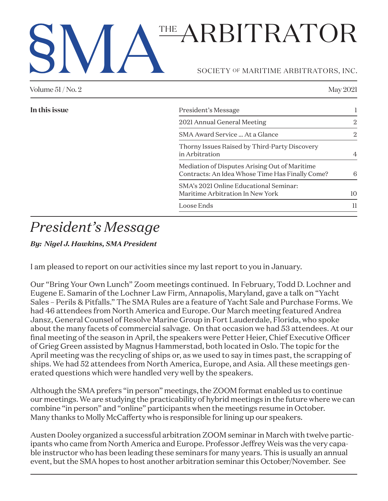# THE ARBITRATOR

SOCIETY OF MARITIME ARBITRATORS, INC.

| Volume $51/No.2$ |                                                                                                  | <b>May 2021</b> |
|------------------|--------------------------------------------------------------------------------------------------|-----------------|
| In this issue    | President's Message                                                                              |                 |
|                  | 2021 Annual General Meeting                                                                      | 2               |
|                  | SMA Award Service  At a Glance                                                                   | 2               |
|                  | Thorny Issues Raised by Third-Party Discovery<br>in Arbitration                                  | $\overline{4}$  |
|                  | Mediation of Disputes Arising Out of Maritime<br>Contracts: An Idea Whose Time Has Finally Come? | 6               |
|                  | SMA's 2021 Online Educational Seminar:<br>Maritime Arbitration In New York                       | 10              |
|                  | Loose Ends                                                                                       | 11              |

### *President's Message*

*By: Nigel J. Hawkins, SMA President*

I am pleased to report on our activities since my last report to you in January.

Our "Bring Your Own Lunch" Zoom meetings continued. In February, Todd D. Lochner and Eugene E. Samarin of the Lochner Law Firm, Annapolis, Maryland, gave a talk on "Yacht Sales – Perils & Pitfalls." The SMA Rules are a feature of Yacht Sale and Purchase Forms. We had 46 attendees from North America and Europe. Our March meeting featured Andrea Jansz, General Counsel of Resolve Marine Group in Fort Lauderdale, Florida, who spoke about the many facets of commercial salvage. On that occasion we had 53 attendees. At our final meeting of the season in April, the speakers were Petter Heier, Chief Executive Officer of Grieg Green assisted by Magnus Hammerstad, both located in Oslo. The topic for the April meeting was the recycling of ships or, as we used to say in times past, the scrapping of ships. We had 52 attendees from North America, Europe, and Asia. All these meetings generated questions which were handled very well by the speakers.

Although the SMA prefers "in person" meetings, the ZOOM format enabled us to continue our meetings. We are studying the practicability of hybrid meetings in the future where we can combine "in person" and "online" participants when the meetings resume in October. Many thanks to Molly McCafferty who is responsible for lining up our speakers.

Austen Dooley organized a successful arbitration ZOOM seminar in March with twelve participants who came from North America and Europe. Professor Jeffrey Weis was the very capable instructor who has been leading these seminars for many years. This is usually an annual event, but the SMA hopes to host another arbitration seminar this October/November. See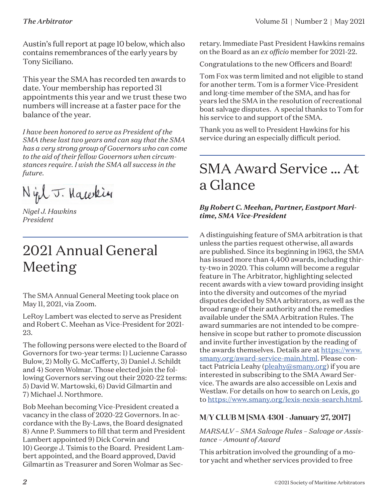Austin's full report at page 10 below, which also contains remembrances of the early years by Tony Siciliano.

This year the SMA has recorded ten awards to date. Your membership has reported 31 appointments this year and we trust these two numbers will increase at a faster pace for the balance of the year.

*I have been honored to serve as President of the SMA these last two years and can say that the SMA has a very strong group of Governors who can come to the aid of their fellow Governors when circumstances require. I wish the SMA all success in the future.*

Nigel J. Hacekin

*Nigel J. Hawkins President*

## 2021 Annual General Meeting

The SMA Annual General Meeting took place on May 11, 2021, via Zoom.

LeRoy Lambert was elected to serve as President and Robert C. Meehan as Vice-President for 2021- 23.

The following persons were elected to the Board of Governors for two-year terms: 1) Lucienne Carasso Bulow, 2) Molly G. McCafferty, 3) Daniel J. Schildt and 4) Soren Wolmar. Those elected join the following Governors serving out their 2020-22 terms: 5) David W. Martowski, 6) David Gilmartin and 7) Michael J. Northmore.

Bob Meehan becoming Vice-President created a vacancy in the class of 2020-22 Governors. In accordance with the By-Laws, the Board designated 8) Anne P. Summers to fill that term and President Lambert appointed 9) Dick Corwin and 10) George J. Tsimis to the Board. President Lambert appointed, and the Board approved, David Gilmartin as Treasurer and Soren Wolmar as Secretary. Immediate Past President Hawkins remains on the Board as an *ex officio* member for 2021-22.

Congratulations to the new Officers and Board!

Tom Fox was term limited and not eligible to stand for another term. Tom is a former Vice-President and long-time member of the SMA, and has for years led the SMA in the resolution of recreational boat salvage disputes. A special thanks to Tom for his service to and support of the SMA.

Thank you as well to President Hawkins for his service during an especially difficult period.

## SMA Award Service … At a Glance

### *By Robert C. Meehan, Partner, Eastport Maritime, SMA Vice-President*

A distinguishing feature of SMA arbitration is that unless the parties request otherwise, all awards are published. Since its beginning in 1963, the SMA has issued more than 4,400 awards, including thirty-two in 2020. This column will become a regular feature in The Arbitrator, highlighting selected recent awards with a view toward providing insight into the diversity and outcomes of the myriad disputes decided by SMA arbitrators, as well as the broad range of their authority and the remedies available under the SMA Arbitration Rules. The award summaries are not intended to be comprehensive in scope but rather to promote discussion and invite further investigation by the reading of the awards themselves. Details are at https://www. smany.org/award-service-main.html. Please contact Patricia Leahy (pleahy@smany.org) if you are interested in subscribing to the SMA Award Service. The awards are also accessible on Lexis and Westlaw. For details on how to search on Lexis, go to https://www.smany.org/lexis-nexis-search.html.

### **M/Y CLUB M [SMA 4301 - January 27, 2017]**

*MARSALV – SMA Salvage Rules – Salvage or Assistance – Amount of Award*

This arbitration involved the grounding of a motor yacht and whether services provided to free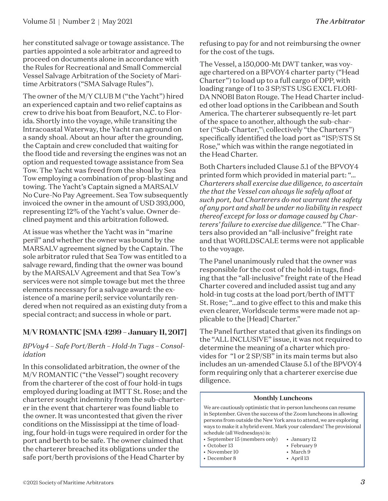her constituted salvage or towage assistance. The parties appointed a sole arbitrator and agreed to proceed on documents alone in accordance with the Rules for Recreational and Small Commercial Vessel Salvage Arbitration of the Society of Maritime Arbitrators ("SMA Salvage Rules").

The owner of the M/Y CLUB M ("the Yacht") hired an experienced captain and two relief captains as crew to drive his boat from Beaufort, N.C. to Florida. Shortly into the voyage, while transiting the Intracoastal Waterway, the Yacht ran aground on a sandy shoal. About an hour after the grounding, the Captain and crew concluded that waiting for the flood tide and reversing the engines was not an option and requested towage assistance from Sea Tow. The Yacht was freed from the shoal by Sea Tow employing a combination of prop-blasting and towing. The Yacht's Captain signed a MARSALV No Cure-No Pay Agreement. Sea Tow subsequently invoiced the owner in the amount of USD 393,000, representing 12% of the Yacht's value. Owner declined payment and this arbitration followed.

At issue was whether the Yacht was in "marine peril" and whether the owner was bound by the MARSALV agreement signed by the Captain. The sole arbitrator ruled that Sea Tow was entitled to a salvage reward, finding that the owner was bound by the MARSALV Agreement and that Sea Tow's services were not simple towage but met the three elements necessary for a salvage award: the existence of a marine peril; service voluntarily rendered when not required as an existing duty from a special contract; and success in whole or part.

### **M/V ROMANTIC [SMA 4299 – January 11, 2017]**

#### *BPVoy4 – Safe Port/Berth – Hold-In Tugs – Consolidation*

In this consolidated arbitration, the owner of the M/V ROMANTIC ("the Vessel") sought recovery from the charterer of the cost of four hold-in tugs employed during loading at IMTT St. Rose; and the charterer sought indemnity from the sub-charterer in the event that charterer was found liable to the owner. It was uncontested that given the river conditions on the Mississippi at the time of loading, four hold-in tugs were required in order for the port and berth to be safe. The owner claimed that the charterer breached its obligations under the safe port/berth provisions of the Head Charter by

refusing to pay for and not reimbursing the owner for the cost of the tugs.

The Vessel, a 150,000-Mt DWT tanker, was voyage chartered on a BPVOY4 charter party ("Head Charter") to load up to a full cargo of DPP, with loading range of 1 to 3 SP/STS USG EXCL FLORI-DA NNOBI Baton Rouge. The Head Charter included other load options in the Caribbean and South America. The charterer subsequently re-let part of the space to another, although the sub-charter ("Sub-Charter,"\ collectively "the Charters") specifically identified the load port as "1SP/STS St Rose," which was within the range negotiated in the Head Charter.

Both Charters included Clause 5.1 of the BPVOY4 printed form which provided in material part: "… *Charterers shall exercise due diligence, to ascertain the that the Vessel can always lie safely afloat at such port, but Charterers do not warrant the safety of any port and shall be under no liability in respect thereof except for loss or damage caused by Charterers' failure to exercise due diligence."* The Charters also provided an "all-inclusive" freight rate and that WORLDSCALE terms were not applicable to the voyage.

The Panel unanimously ruled that the owner was responsible for the cost of the hold-in tugs, finding that the "all-inclusive" freight rate of the Head Charter covered and included assist tug and any hold-in tug costs at the load port/berth of IMTT St. Rose; "…and to give effect to this and make this even clearer, Worldscale terms were made not applicable to the [Head] Charter."

The Panel further stated that given its findings on the "ALL INCLUSIVE" issue, it was not required to determine the meaning of a charter which provides for "1 or 2 SP/SB" in its main terms but also includes an un-amended Clause 5.1 of the BPVOY4 form requiring only that a charterer exercise due diligence.

#### **Monthly Luncheons**

We are cautiously optimistic that in-person luncheons can resume in September. Given the success of the Zoom luncheons in allowing persons from outside the New York area to attend, we are exploring ways to make it a hybrid event. Mark your calendars! The provisional schedule (all Wednesdays) is:

- September 15 (members only) January 12
- October 13 February 9
- November 10 March 9
- December 8 April 13
- -
-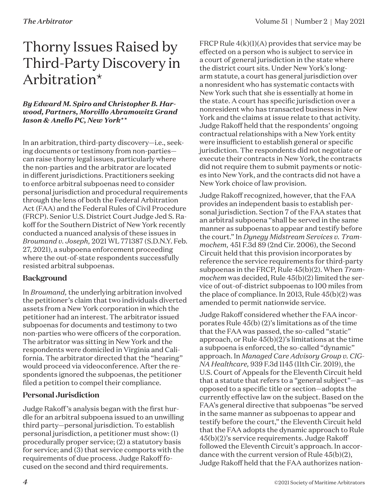### Thorny Issues Raised by Third-Party Discovery in Arbitration\*

#### *By Edward M. Spiro and Christopher B. Harwood, Partners, Morvillo Abramowitz Grand Iason & Anello PC, New York\*\**

In an arbitration, third-party discovery—i.e., seeking documents or testimony from non-parties can raise thorny legal issues, particularly where the non-parties and the arbitrator are located in different jurisdictions. Practitioners seeking to enforce arbitral subpoenas need to consider personal jurisdiction and procedural requirements through the lens of both the Federal Arbitration Act (FAA) and the Federal Rules of Civil Procedure (FRCP). Senior U.S. District Court Judge Jed S. Rakoff for the Southern District of New York recently conducted a nuanced analysis of these issues in *Broumand v. Joseph,* 2021 WL 771387 (S.D.N.Y. Feb. 27, 2021), a subpoena enforcement proceeding where the out-of-state respondents successfully resisted arbitral subpoenas.

### **Background**

In *Broumand,* the underlying arbitration involved the petitioner's claim that two individuals diverted assets from a New York corporation in which the petitioner had an interest. The arbitrator issued subpoenas for documents and testimony to two non-parties who were officers of the corporation. The arbitrator was sitting in New York and the respondents were domiciled in Virginia and California. The arbitrator directed that the "hearing" would proceed via videoconference. After the respondents ignored the subpoenas, the petitioner filed a petition to compel their compliance.

### **Personal Jurisdiction**

Judge Rakoff 's analysis began with the first hurdle for an arbitral subpoena issued to an unwilling third party—personal jurisdiction. To establish personal jurisdiction, a petitioner must show: (1) procedurally proper service; (2) a statutory basis for service; and (3) that service comports with the requirements of due process. Judge Rakoff focused on the second and third requirements.

FRCP Rule  $4(k)(1)(A)$  provides that service may be effected on a person who is subject to service in a court of general jurisdiction in the state where the district court sits. Under New York's longarm statute, a court has general jurisdiction over a nonresident who has systematic contacts with New York such that she is essentially at home in the state. A court has specific jurisdiction over a nonresident who has transacted business in New York and the claims at issue relate to that activity. Judge Rakoff held that the respondents' ongoing contractual relationships with a New York entity were insufficient to establish general or specific jurisdiction. The respondents did not negotiate or execute their contracts in New York, the contracts did not require them to submit payments or notices into New York, and the contracts did not have a New York choice of law provision.

Judge Rakoff recognized, however, that the FAA provides an independent basis to establish personal jurisdiction. Section 7 of the FAA states that an arbitral subpoena "shall be served in the same manner as subpoenas to appear and testify before the court." In *Dynegy Midstream Services v. Trammochem,* 451 F.3d 89 (2nd Cir. 2006), the Second Circuit held that this provision incorporates by reference the service requirements for third-party subpoenas in the FRCP, Rule 45(b)(2). When *Trammochem* was decided, Rule 45(b)(2) limited the service of out-of-district subpoenas to 100 miles from the place of compliance. In 2013, Rule 45(b)(2) was amended to permit nationwide service.

Judge Rakoff considered whether the FAA incorporates Rule 45(b) (2)'s limitations as of the time that the FAA was passed, the so-called "static" approach, or Rule 45(b)(2)'s limitations at the time a subpoena is enforced, the so-called "dynamic" approach. In *Managed Care Advisory Group v. CIG-NA Healthcare,* 939 F.3d 1145 (11th Cir. 2019), the U.S. Court of Appeals for the Eleventh Circuit held that a statute that refers to a "general subject"—as opposed to a specific title or section—adopts the currently effective law on the subject. Based on the FAA's general directive that subpoenas "be served in the same manner as subpoenas to appear and testify before the court," the Eleventh Circuit held that the FAA adopts the dynamic approach to Rule 45(b)(2)'s service requirements. Judge Rakoff followed the Eleventh Circuit's approach. In accordance with the current version of Rule 45(b)(2), Judge Rakoff held that the FAA authorizes nation-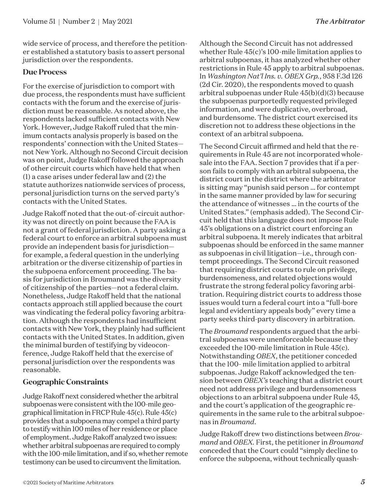wide service of process, and therefore the petitioner established a statutory basis to assert personal jurisdiction over the respondents.

### **Due Process**

For the exercise of jurisdiction to comport with due process, the respondents must have sufficient contacts with the forum and the exercise of jurisdiction must be reasonable. As noted above, the respondents lacked sufficient contacts with New York. However, Judge Rakoff ruled that the minimum contacts analysis properly is based on the respondents' connection with the United States not New York. Although no Second Circuit decision was on point, Judge Rakoff followed the approach of other circuit courts which have held that when (1) a case arises under federal law and (2) the statute authorizes nationwide services of process, personal jurisdiction turns on the served party's contacts with the United States.

Judge Rakoff noted that the out-of-circuit authority was not directly on point because the FAA is not a grant of federal jurisdiction. A party asking a federal court to enforce an arbitral subpoena must provide an independent basis for jurisdiction for example, a federal question in the underlying arbitration or the diverse citizenship of parties in the subpoena enforcement proceeding. The basis for jurisdiction in Broumand was the diversity of citizenship of the parties—not a federal claim. Nonetheless, Judge Rakoff held that the national contacts approach still applied because the court was vindicating the federal policy favoring arbitration. Although the respondents had insufficient contacts with New York, they plainly had sufficient contacts with the United States. In addition, given the minimal burden of testifying by videoconference, Judge Rakoff held that the exercise of personal jurisdiction over the respondents was reasonable.

### **Geographic Constraints**

Judge Rakoff next considered whether the arbitral subpoenas were consistent with the 100-mile geographical limitation in FRCP Rule 45(c). Rule 45(c) provides that a subpoena may compel a third party to testify within 100 miles of her residence or place of employment. Judge Rakoff analyzed two issues: whether arbitral subpoenas are required to comply with the 100-mile limitation, and if so, whether remote testimony can be used to circumvent the limitation.

Although the Second Circuit has not addressed whether Rule 45(c)'s 100-mile limitation applies to arbitral subpoenas, it has analyzed whether other restrictions in Rule 45 apply to arbitral subpoenas. In *Washington Nat'l Ins. v. OBEX Grp.*, 958 F.3d 126 (2d Cir. 2020), the respondents moved to quash arbitral subpoenas under Rule 45(b)(d)(3) because the subpoenas purportedly requested privileged information, and were duplicative, overbroad, and burdensome. The district court exercised its discretion not to address these objections in the context of an arbitral subpoena.

The Second Circuit affirmed and held that the requirements in Rule 45 are not incorporated wholesale into the FAA. Section 7 provides that if a person fails to comply with an arbitral subpoena, the district court in the district where the arbitrator is sitting may "punish said person … for contempt in the same manner provided by law for securing the attendance of witnesses … in the courts of the United States." (emphasis added). The Second Circuit held that this language does not impose Rule 45's obligations on a district court enforcing an arbitral subpoena. It merely indicates that arbitral subpoenas should be enforced in the same manner as subpoenas in civil litigation—i.e., through contempt proceedings. The Second Circuit reasoned that requiring district courts to rule on privilege, burdensomeness, and related objections would frustrate the strong federal policy favoring arbitration. Requiring district courts to address those issues would turn a federal court into a "full-bore legal and evidentiary appeals body" every time a party seeks third-party discovery in arbitration.

The *Broumand* respondents argued that the arbitral subpoenas were unenforceable because they exceeded the 100-mile limitation in Rule 45(c). Notwithstanding *OBEX*, the petitioner conceded that the 100- mile limitation applied to arbitral subpoenas. Judge Rakoff acknowledged the tension between *OBEX's* teaching that a district court need not address privilege and burdensomeness objections to an arbitral subpoena under Rule 45, and the court's application of the geographic requirements in the same rule to the arbitral subpoenas in *Broumand*.

Judge Rakoff drew two distinctions between *Broumand* and *OBEX.* First, the petitioner in *Broumand* conceded that the Court could "simply decline to enforce the subpoena, without technically quash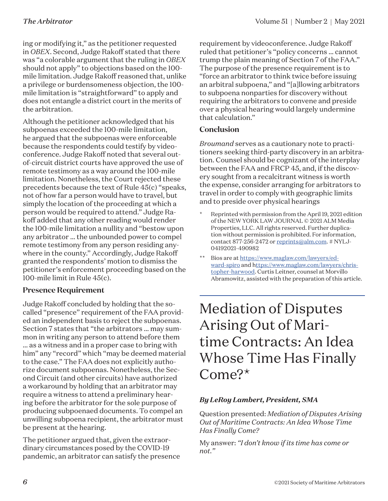ing or modifying it," as the petitioner requested in *OBEX*. Second, Judge Rakoff stated that there was "a colorable argument that the ruling in *OBEX* should not apply" to objections based on the 100 mile limitation. Judge Rakoff reasoned that, unlike a privilege or burdensomeness objection, the 100 mile limitation is "straightforward" to apply and does not entangle a district court in the merits of the arbitration.

Although the petitioner acknowledged that his subpoenas exceeded the 100-mile limitation, he argued that the subpoenas were enforceable because the respondents could testify by videoconference. Judge Rakoff noted that several outof-circuit district courts have approved the use of remote testimony as a way around the 100-mile limitation. Nonetheless, the Court rejected these precedents because the text of Rule 45(c) "speaks, not of how far a person would have to travel, but simply the location of the proceeding at which a person would be required to attend." Judge Rakoff added that any other reading would render the 100-mile limitation a nullity and "bestow upon any arbitrator … the unbounded power to compel remote testimony from any person residing anywhere in the county." Accordingly, Judge Rakoff granted the respondents' motion to dismiss the petitioner's enforcement proceeding based on the 100-mile limit in Rule 45(c).

### **Presence Requirement**

Judge Rakoff concluded by holding that the socalled "presence" requirement of the FAA provided an independent basis to reject the subpoenas. Section 7 states that "the arbitrators … may summon in writing any person to attend before them … as a witness and in a proper case to bring with him" any "record" which "may be deemed material to the case." The FAA does not explicitly authorize document subpoenas. Nonetheless, the Second Circuit (and other circuits) have authorized a workaround by holding that an arbitrator may require a witness to attend a preliminary hearing before the arbitrator for the sole purpose of producing subpoenaed documents. To compel an unwilling subpoena recipient, the arbitrator must be present at the hearing.

The petitioner argued that, given the extraordinary circumstances posed by the COVID-19 pandemic, an arbitrator can satisfy the presence requirement by videoconference. Judge Rakoff ruled that petitioner's "policy concerns … cannot trump the plain meaning of Section 7 of the FAA." The purpose of the presence requirement is to "force an arbitrator to think twice before issuing an arbitral subpoena," and "[a]llowing arbitrators to subpoena nonparties for discovery without requiring the arbitrators to convene and preside over a physical hearing would largely undermine that calculation."

### **Conclusion**

*Broumand* serves as a cautionary note to practitioners seeking third-party discovery in an arbitration. Counsel should be cognizant of the interplay between the FAA and FRCP 45, and, if the discovery sought from a recalcitrant witness is worth the expense, consider arranging for arbitrators to travel in order to comply with geographic limits and to preside over physical hearings

- Reprinted with permission from the April 19, 2021 edition of the NEW YORK LAW JOURNAL © 2021 ALM Media Properties, LLC. All rights reserved. Further duplication without permission is prohibited. For information, contact 877-256-2472 or reprints@alm.com. # NYLJ-04192021-490982
- \*\* Bios are at https://www.maglaw.com/lawyers/edward-spiro and https://www.maglaw.com/lawyers/christopher-harwood. Curtis Leitner, counsel at Morvillo Abramowitz, assisted with the preparation of this article.

### Mediation of Disputes Arising Out of Maritime Contracts: An Idea Whose Time Has Finally Come?\*

### *By LeRoy Lambert, President, SMA*

Question presented: *Mediation of Disputes Arising Out of Maritime Contracts: An Idea Whose Time Has Finally Come?*

My answer: *"I don't know if its time has come or not."*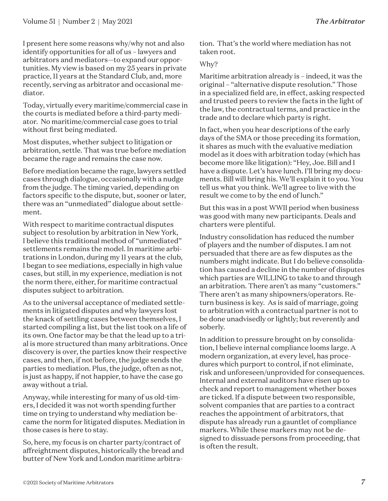I present here some reasons why/why not and also identify opportunities for all of us – lawyers and arbitrators and mediators—to expand our opportunities. My view is based on my 25 years in private practice, 11 years at the Standard Club, and, more recently, serving as arbitrator and occasional mediator.

Today, virtually every maritime/commercial case in the courts is mediated before a third-party mediator. No maritime/commercial case goes to trial without first being mediated.

Most disputes, whether subject to litigation or arbitration, settle. That was true before mediation became the rage and remains the case now.

Before mediation became the rage, lawyers settled cases through dialogue, occasionally with a nudge from the judge. The timing varied, depending on factors specific to the dispute, but, sooner or later, there was an "unmediated" dialogue about settlement.

With respect to maritime contractual disputes subject to resolution by arbitration in New York, I believe this traditional method of "unmediated" settlements remains the model. In maritime arbitrations in London, during my 11 years at the club, I began to see mediations, especially in high value cases, but still, in my experience, mediation is not the norm there, either, for maritime contractual disputes subject to arbitration.

As to the universal acceptance of mediated settlements in litigated disputes and why lawyers lost the knack of settling cases between themselves, I started compiling a list, but the list took on a life of its own. One factor may be that the lead up to a trial is more structured than many arbitrations. Once discovery is over, the parties know their respective cases, and then, if not before, the judge sends the parties to mediation. Plus, the judge, often as not, is just as happy, if not happier, to have the case go away without a trial.

Anyway, while interesting for many of us old-timers, I decided it was not worth spending further time on trying to understand why mediation became the norm for litigated disputes. Mediation in those cases is here to stay.

So, here, my focus is on charter party/contract of affreightment disputes, historically the bread and butter of New York and London maritime arbitration. That's the world where mediation has not taken root.

#### Why?

Maritime arbitration already is – indeed, it was the original – "alternative dispute resolution." Those in a specialized field are, in effect, asking respected and trusted peers to review the facts in the light of the law, the contractual terms, and practice in the trade and to declare which party is right.

In fact, when you hear descriptions of the early days of the SMA or those preceding its formation, it shares as much with the evaluative mediation model as it does with arbitration today (which has become more like litigation): "Hey, Joe. Bill and I have a dispute. Let's have lunch. I'll bring my documents. Bill will bring his. We'll explain it to you. You tell us what you think. We'll agree to live with the result we come to by the end of lunch."

But this was in a post WWII period when business was good with many new participants. Deals and charters were plentiful.

Industry consolidation has reduced the number of players and the number of disputes. I am not persuaded that there are as few disputes as the numbers might indicate. But I do believe consolidation has caused a decline in the number of disputes which parties are WILLING to take to and through an arbitration. There aren't as many "customers." There aren't as many shipowners/operators. Return business is key. As is said of marriage, going to arbitration with a contractual partner is not to be done unadvisedly or lightly; but reverently and soberly.

In addition to pressure brought on by consolidation, I believe internal compliance looms large. A modern organization, at every level, has procedures which purport to control, if not eliminate, risk and unforeseen/unprovided for consequences. Internal and external auditors have risen up to check and report to management whether boxes are ticked. If a dispute between two responsible, solvent companies that are parties to a contract reaches the appointment of arbitrators, that dispute has already run a gauntlet of compliance markers. While these markers may not be designed to dissuade persons from proceeding, that is often the result.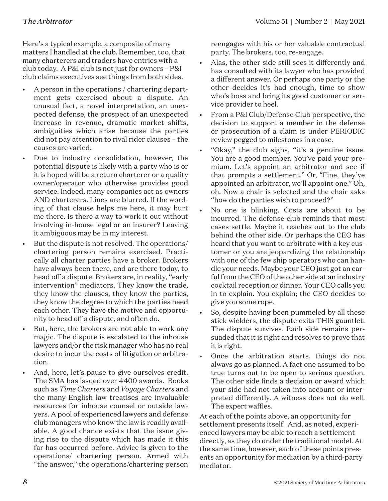Here's a typical example, a composite of many matters I handled at the club. Remember, too, that many charterers and traders have entries with a club today. A P&I club is not just for owners – P&I club claims executives see things from both sides.

- A person in the operations / chartering department gets exercised about a dispute. An unusual fact, a novel interpretation, an unexpected defense, the prospect of an unexpected increase in revenue, dramatic market shifts, ambiguities which arise because the parties did not pay attention to rival rider clauses – the causes are varied.
- Due to industry consolidation, however, the potential dispute is likely with a party who is or it is hoped will be a return charterer or a quality owner/operator who otherwise provides good service. Indeed, many companies act as owners AND charterers. Lines are blurred. If the wording of that clause helps me here, it may hurt me there. Is there a way to work it out without involving in-house legal or an insurer? Leaving it ambiguous may be in my interest.
- But the dispute is not resolved. The operations/ chartering person remains exercised. Practically all charter parties have a broker. Brokers have always been there, and are there today, to head off a dispute. Brokers are, in reality, "early intervention" mediators. They know the trade, they know the clauses, they know the parties, they know the degree to which the parties need each other. They have the motive and opportunity to head off a dispute, and often do.
- But, here, the brokers are not able to work any magic. The dispute is escalated to the inhouse lawyers and/or the risk manager who has no real desire to incur the costs of litigation or arbitration.
- And, here, let's pause to give ourselves credit. The SMA has issued over 4400 awards. Books such as *Time Charters* and *Voyage Charters* and the many English law treatises are invaluable resources for inhouse counsel or outside lawyers. A pool of experienced lawyers and defense club managers who know the law is readily available. A good chance exists that the issue giving rise to the dispute which has made it this far has occurred before. Advice is given to the operations/ chartering person. Armed with "the answer," the operations/chartering person

reengages with his or her valuable contractual party. The brokers, too, re-engage.

- Alas, the other side still sees it differently and has consulted with its lawyer who has provided a different answer. Or perhaps one party or the other decides it's had enough, time to show who's boss and bring its good customer or service provider to heel.
- From a P&I Club/Defense Club perspective, the decision to support a member in the defense or prosecution of a claim is under PERIODIC review pegged to milestones in a case.
- "Okay," the club sighs, "it's a genuine issue. You are a good member. You've paid your premium. Let's appoint an arbitrator and see if that prompts a settlement." Or, "Fine, they've appointed an arbitrator, we'll appoint one." Oh, oh. Now a chair is selected and the chair asks "how do the parties wish to proceed?"
- No one is blinking. Costs are about to be incurred. The defense club reminds that most cases settle. Maybe it reaches out to the club behind the other side. Or perhaps the CEO has heard that you want to arbitrate with a key customer or you are jeopardizing the relationship with one of the few ship operators who can handle your needs. Maybe your CEO just got an earful from the CEO of the other side at an industry cocktail reception or dinner. Your CEO calls you in to explain. You explain; the CEO decides to give you some rope.
- So, despite having been pummeled by all these stick wielders, the dispute exits THIS gauntlet. The dispute survives. Each side remains persuaded that it is right and resolves to prove that it is right.
- Once the arbitration starts, things do not always go as planned. A fact one assumed to be true turns out to be open to serious question. The other side finds a decision or award which your side had not taken into account or interpreted differently. A witness does not do well. The expert waffles.

At each of the points above, an opportunity for settlement presents itself. And, as noted, experienced lawyers may be able to reach a settlement directly, as they do under the traditional model. At the same time, however, each of these points presents an opportunity for mediation by a third-party mediator.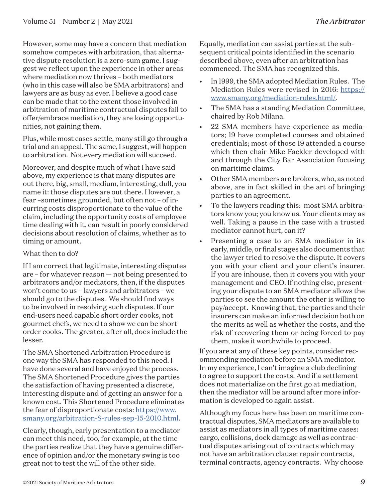However, some may have a concern that mediation somehow competes with arbitration, that alternative dispute resolution is a zero-sum game. I suggest we reflect upon the experience in other areas where mediation now thrives – both mediators (who in this case will also be SMA arbitrators) and lawyers are as busy as ever. I believe a good case can be made that to the extent those involved in arbitration of maritime contractual disputes fail to offer/embrace mediation, they are losing opportunities, not gaining them.

Plus, while most cases settle, many still go through a trial and an appeal. The same, I suggest, will happen to arbitration. Not every mediation will succeed.

Moreover, and despite much of what I have said above, my experience is that many disputes are out there, big, small, medium, interesting, dull, you name it: those disputes are out there. However, a fear –sometimes grounded, but often not – of incurring costs disproportionate to the value of the claim, including the opportunity costs of employee time dealing with it, can result in poorly considered decisions about resolution of claims, whether as to timing or amount.

#### What then to do?

If I am correct that legitimate, interesting disputes are – for whatever reason — not being presented to arbitrators and/or mediators, then, if the disputes won't come to us – lawyers and arbitrators – we should go to the disputes. We should find ways to be involved in resolving such disputes. If our end-users need capable short order cooks, not gourmet chefs, we need to show we can be short order cooks. The greater, after all, does include the lesser.

The SMA Shortened Arbitration Procedure is one way the SMA has responded to this need. I have done several and have enjoyed the process. The SMA Shortened Procedure gives the parties the satisfaction of having presented a discrete, interesting dispute and of getting an answer for a known cost. This Shortened Procedure eliminates the fear of disproportionate costs: https://www. smany.org/arbitration-S-rules-sep-15-2010.html.

Clearly, though, early presentation to a mediator can meet this need, too, for example, at the time the parties realize that they have a genuine difference of opinion and/or the monetary swing is too great not to test the will of the other side.

Equally, mediation can assist parties at the subsequent critical points identified in the scenario described above, even after an arbitration has commenced. The SMA has recognized this.

- In 1999, the SMA adopted Mediation Rules. The Mediation Rules were revised in 2016: https:// www.smany.org/mediation-rules.html/.
- The SMA has a standing Mediation Committee, chaired by Rob Milana.
- 22 SMA members have experience as mediators; 19 have completed courses and obtained credentials; most of those 19 attended a course which then chair Mike Fackler developed with and through the City Bar Association focusing on maritime claims.
- Other SMA members are brokers, who, as noted above, are in fact skilled in the art of bringing parties to an agreement.
- To the lawyers reading this: most SMA arbitrators know you; you know us. Your clients may as well. Taking a pause in the case with a trusted mediator cannot hurt, can it?
- Presenting a case to an SMA mediator in its early, middle, or final stages also documents that the lawyer tried to resolve the dispute. It covers you with your client and your client's insurer. If you are inhouse, then it covers you with your management and CEO. If nothing else, presenting your dispute to an SMA mediator allows the parties to see the amount the other is willing to pay/accept. Knowing that, the parties and their insurers can make an informed decision both on the merits as well as whether the costs, and the risk of recovering them or being forced to pay them, make it worthwhile to proceed.

If you are at any of these key points, consider recommending mediation before an SMA mediator. In my experience, I can't imagine a club declining to agree to support the costs. And if a settlement does not materialize on the first go at mediation, then the mediator will be around after more information is developed to again assist.

Although my focus here has been on maritime contractual disputes, SMA mediators are available to assist as mediators in all types of maritime cases: cargo, collisions, dock damage as well as contractual disputes arising out of contracts which may not have an arbitration clause: repair contracts, terminal contracts, agency contracts. Why choose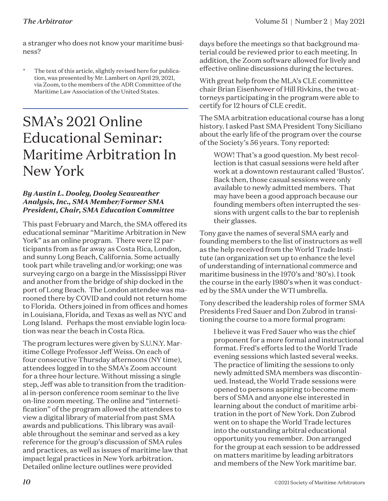a stranger who does not know your maritime business?

The text of this article, slightly revised here for publication, was presented by Mr. Lambert on April 29, 2021, via Zoom, to the members of the ADR Committee of the Maritime Law Association of the United States.

### SMA's 2021 Online Educational Seminar: Maritime Arbitration In New York

#### *By Austin L. Dooley, Dooley Seaweather Analysis, Inc., SMA Member/Former SMA President, Chair, SMA Education Committee*

This past February and March, the SMA offered its educational seminar "Maritime Arbitration in New York" as an online program. There were 12 participants from as far away as Costa Rica, London, and sunny Long Beach, California. Some actually took part while traveling and/or working; one was surveying cargo on a barge in the Mississippi River and another from the bridge of ship docked in the port of Long Beach. The London attendee was marooned there by COVID and could not return home to Florida. Others joined in from offices and homes in Louisiana, Florida, and Texas as well as NYC and Long Island. Perhaps the most enviable login location was near the beach in Costa Rica.

The program lectures were given by S.U.N.Y. Maritime College Professor Jeff Weiss. On each of four consecutive Thursday afternoons (NY time), attendees logged in to the SMA's Zoom account for a three hour lecture. Without missing a single step, Jeff was able to transition from the traditional in-person conference room seminar to the live on-line zoom meeting. The online and "internetification" of the program allowed the attendees to view a digital library of material from past SMA awards and publications. This library was available throughout the seminar and served as a key reference for the group's discussion of SMA rules and practices, as well as issues of maritime law that impact legal practices in New York arbitration. Detailed online lecture outlines were provided

days before the meetings so that background material could be reviewed prior to each meeting. In addition, the Zoom software allowed for lively and effective online discussions during the lectures.

With great help from the MLA's CLE committee chair Brian Eisenhower of Hill Rivkins, the two attorneys participating in the program were able to certify for 12 hours of CLE credit.

The SMA arbitration educational course has a long history. I asked Past SMA President Tony Siciliano about the early life of the program over the course of the Society's 56 years. Tony reported:

WOW! That's a good question. My best recollection is that casual sessions were held after work at a downtown restaurant called 'Bustos'. Back then, those casual sessions were only available to newly admitted members. That may have been a good approach because our founding members often interrupted the sessions with urgent calls to the bar to replenish their glasses.

Tony gave the names of several SMA early and founding members to the list of instructors as well as the help received from the World Trade Institute (an organization set up to enhance the level of understanding of international commerce and maritime business in the 1970's and '80's). I took the course in the early 1980's when it was conducted by the SMA under the WTI umbrella.

Tony described the leadership roles of former SMA Presidents Fred Sauer and Don Zubrod in transitioning the course to a more formal program:

I believe it was Fred Sauer who was the chief proponent for a more formal and instructional format. Fred's efforts led to the World Trade evening sessions which lasted several weeks. The practice of limiting the sessions to only newly admitted SMA members was discontinued. Instead, the World Trade sessions were opened to persons aspiring to become members of SMA and anyone else interested in learning about the conduct of maritime arbitration in the port of New York. Don Zubrod went on to shape the World Trade lectures into the outstanding arbitral educational opportunity you remember. Don arranged for the group at each session to be addressed on matters maritime by leading arbitrators and members of the New York maritime bar.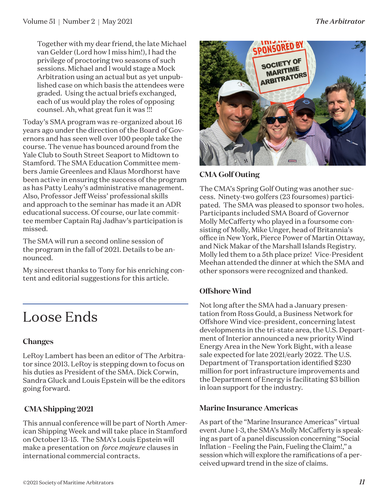Together with my dear friend, the late Michael van Gelder (Lord how I miss him!), I had the privilege of proctoring two seasons of such sessions. Michael and I would stage a Mock Arbitration using an actual but as yet unpublished case on which basis the attendees were graded. Using the actual briefs exchanged, each of us would play the roles of opposing counsel. Ah, what great fun it was !!!

Today's SMA program was re-organized about 16 years ago under the direction of the Board of Governors and has seen well over 100 people take the course. The venue has bounced around from the Yale Club to South Street Seaport to Midtown to Stamford. The SMA Education Committee members Jamie Greenlees and Klaus Mordhorst have been active in ensuring the success of the program as has Patty Leahy's administrative management. Also, Professor Jeff Weiss' professional skills and approach to the seminar has made it an ADR educational success. Of course, our late committee member Captain Raj Jadhav's participation is missed.

The SMA will run a second online session of the program in the fall of 2021. Details to be announced.

My sincerest thanks to Tony for his enriching content and editorial suggestions for this article.

### Loose Ends

### **Changes**

LeRoy Lambert has been an editor of The Arbitrator since 2013. LeRoy is stepping down to focus on his duties as President of the SMA. Dick Corwin, Sandra Gluck and Louis Epstein will be the editors going forward.

### **CMA Shipping 2021**

This annual conference will be part of North American Shipping Week and will take place in Stamford on October 13-15. The SMA's Louis Epstein will make a presentation on *force majeure* clauses in international commercial contracts.



### **CMA Golf Outing**

The CMA's Spring Golf Outing was another success. Ninety-two golfers (23 foursomes) participated. The SMA was pleased to sponsor two holes. Participants included SMA Board of Governor Molly McCafferty who played in a foursome consisting of Molly, Mike Unger, head of Britannia's office in New York, Pierce Power of Martin Ottaway, and Nick Makar of the Marshall Islands Registry. Molly led them to a 5th place prize! Vice-President Meehan attended the dinner at which the SMA and other sponsors were recognized and thanked.

### **Offshore Wind**

Not long after the SMA had a January presentation from Ross Gould, a Business Network for Offshore Wind vice-president, concerning latest developments in the tri-state area, the U.S. Department of Interior announced a new priority Wind Energy Area in the New York Bight, with a lease sale expected for late 2021/early 2022. The U.S. Department of Transportation identified \$230 million for port infrastructure improvements and the Department of Energy is facilitating \$3 billion in loan support for the industry.

### **Marine Insurance Americas**

As part of the "Marine Insurance Americas" virtual event June 1-3, the SMA's Molly McCafferty is speaking as part of a panel discussion concerning "Social Inflation – Feeling the Pain, Fueling the Claim!," a session which will explore the ramifications of a perceived upward trend in the size of claims.